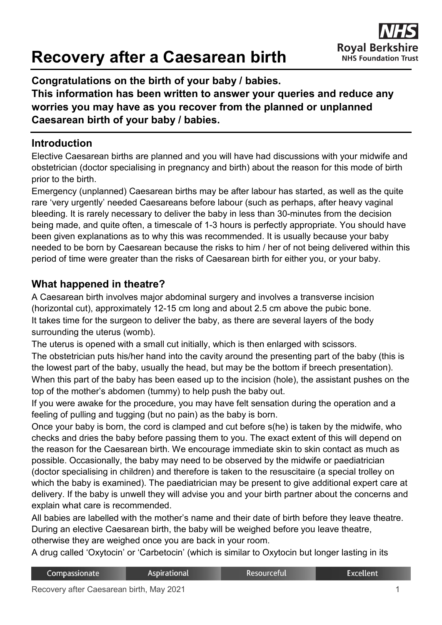# **Recovery after a Caesarean birth**



**Congratulations on the birth of your baby / babies.** 

**This information has been written to answer your queries and reduce any worries you may have as you recover from the planned or unplanned Caesarean birth of your baby / babies.**

#### **Introduction**

Elective Caesarean births are planned and you will have had discussions with your midwife and obstetrician (doctor specialising in pregnancy and birth) about the reason for this mode of birth prior to the birth.

Emergency (unplanned) Caesarean births may be after labour has started, as well as the quite rare 'very urgently' needed Caesareans before labour (such as perhaps, after heavy vaginal bleeding. It is rarely necessary to deliver the baby in less than 30-minutes from the decision being made, and quite often, a timescale of 1-3 hours is perfectly appropriate. You should have been given explanations as to why this was recommended. It is usually because your baby needed to be born by Caesarean because the risks to him / her of not being delivered within this period of time were greater than the risks of Caesarean birth for either you, or your baby.

#### **What happened in theatre?**

A Caesarean birth involves major abdominal surgery and involves a transverse incision (horizontal cut), approximately 12-15 cm long and about 2.5 cm above the pubic bone. It takes time for the surgeon to deliver the baby, as there are several layers of the body surrounding the uterus (womb).

The uterus is opened with a small cut initially, which is then enlarged with scissors.

The obstetrician puts his/her hand into the cavity around the presenting part of the baby (this is the lowest part of the baby, usually the head, but may be the bottom if breech presentation). When this part of the baby has been eased up to the incision (hole), the assistant pushes on the top of the mother's abdomen (tummy) to help push the baby out.

If you were awake for the procedure, you may have felt sensation during the operation and a feeling of pulling and tugging (but no pain) as the baby is born.

Once your baby is born, the cord is clamped and cut before s(he) is taken by the midwife, who checks and dries the baby before passing them to you. The exact extent of this will depend on the reason for the Caesarean birth. We encourage immediate skin to skin contact as much as possible. Occasionally, the baby may need to be observed by the midwife or paediatrician (doctor specialising in children) and therefore is taken to the resuscitaire (a special trolley on which the baby is examined). The paediatrician may be present to give additional expert care at delivery. If the baby is unwell they will advise you and your birth partner about the concerns and explain what care is recommended.

All babies are labelled with the mother's name and their date of birth before they leave theatre. During an elective Caesarean birth, the baby will be weighed before you leave theatre, otherwise they are weighed once you are back in your room.

A drug called 'Oxytocin' or 'Carbetocin' (which is similar to Oxytocin but longer lasting in its

| Compassionate | <b>Aspirational</b> | Resourceful | <b>Excellent</b> |
|---------------|---------------------|-------------|------------------|
|               |                     |             |                  |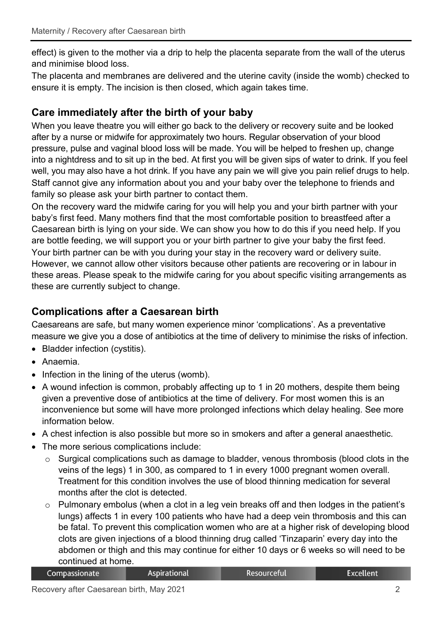effect) is given to the mother via a drip to help the placenta separate from the wall of the uterus and minimise blood loss.

The placenta and membranes are delivered and the uterine cavity (inside the womb) checked to ensure it is empty. The incision is then closed, which again takes time.

## **Care immediately after the birth of your baby**

When you leave theatre you will either go back to the delivery or recovery suite and be looked after by a nurse or midwife for approximately two hours. Regular observation of your blood pressure, pulse and vaginal blood loss will be made. You will be helped to freshen up, change into a nightdress and to sit up in the bed. At first you will be given sips of water to drink. If you feel well, you may also have a hot drink. If you have any pain we will give you pain relief drugs to help. Staff cannot give any information about you and your baby over the telephone to friends and family so please ask your birth partner to contact them.

On the recovery ward the midwife caring for you will help you and your birth partner with your baby's first feed. Many mothers find that the most comfortable position to breastfeed after a Caesarean birth is lying on your side. We can show you how to do this if you need help. If you are bottle feeding, we will support you or your birth partner to give your baby the first feed. Your birth partner can be with you during your stay in the recovery ward or delivery suite. However, we cannot allow other visitors because other patients are recovering or in labour in these areas. Please speak to the midwife caring for you about specific visiting arrangements as these are currently subject to change.

# **Complications after a Caesarean birth**

Caesareans are safe, but many women experience minor 'complications'. As a preventative measure we give you a dose of antibiotics at the time of delivery to minimise the risks of infection.

- Bladder infection (cystitis).
- Anaemia.
- Infection in the lining of the uterus (womb).
- A wound infection is common, probably affecting up to 1 in 20 mothers, despite them being given a preventive dose of antibiotics at the time of delivery. For most women this is an inconvenience but some will have more prolonged infections which delay healing. See more information below.
- A chest infection is also possible but more so in smokers and after a general anaesthetic.
- The more serious complications include:
	- o Surgical complications such as damage to bladder, venous thrombosis (blood clots in the veins of the legs) 1 in 300, as compared to 1 in every 1000 pregnant women overall. Treatment for this condition involves the use of blood thinning medication for several months after the clot is detected.
	- o Pulmonary embolus (when a clot in a leg vein breaks off and then lodges in the patient's lungs) affects 1 in every 100 patients who have had a deep vein thrombosis and this can be fatal. To prevent this complication women who are at a higher risk of developing blood clots are given injections of a blood thinning drug called 'Tinzaparin' every day into the abdomen or thigh and this may continue for either 10 days or 6 weeks so will need to be continued at home.

| Compassionate | Aspirational | Resourceful | <b>Excellent</b> |
|---------------|--------------|-------------|------------------|
|---------------|--------------|-------------|------------------|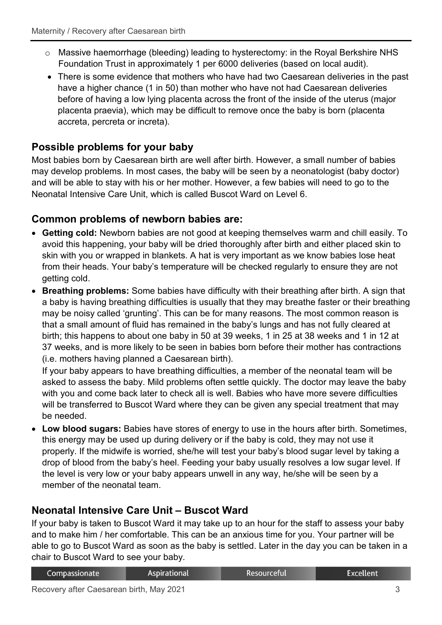- o Massive haemorrhage (bleeding) leading to hysterectomy: in the Royal Berkshire NHS Foundation Trust in approximately 1 per 6000 deliveries (based on local audit).
- There is some evidence that mothers who have had two Caesarean deliveries in the past have a higher chance (1 in 50) than mother who have not had Caesarean deliveries before of having a low lying placenta across the front of the inside of the uterus (major placenta praevia), which may be difficult to remove once the baby is born (placenta accreta, percreta or increta).

# **Possible problems for your baby**

Most babies born by Caesarean birth are well after birth. However, a small number of babies may develop problems. In most cases, the baby will be seen by a neonatologist (baby doctor) and will be able to stay with his or her mother. However, a few babies will need to go to the Neonatal Intensive Care Unit, which is called Buscot Ward on Level 6.

## **Common problems of newborn babies are:**

- **Getting cold:** Newborn babies are not good at keeping themselves warm and chill easily. To avoid this happening, your baby will be dried thoroughly after birth and either placed skin to skin with you or wrapped in blankets. A hat is very important as we know babies lose heat from their heads. Your baby's temperature will be checked regularly to ensure they are not getting cold.
- **Breathing problems:** Some babies have difficulty with their breathing after birth. A sign that a baby is having breathing difficulties is usually that they may breathe faster or their breathing may be noisy called 'grunting'. This can be for many reasons. The most common reason is that a small amount of fluid has remained in the baby's lungs and has not fully cleared at birth; this happens to about one baby in 50 at 39 weeks, 1 in 25 at 38 weeks and 1 in 12 at 37 weeks, and is more likely to be seen in babies born before their mother has contractions (i.e. mothers having planned a Caesarean birth).

If your baby appears to have breathing difficulties, a member of the neonatal team will be asked to assess the baby. Mild problems often settle quickly. The doctor may leave the baby with you and come back later to check all is well. Babies who have more severe difficulties will be transferred to Buscot Ward where they can be given any special treatment that may be needed.

• **Low blood sugars:** Babies have stores of energy to use in the hours after birth. Sometimes, this energy may be used up during delivery or if the baby is cold, they may not use it properly. If the midwife is worried, she/he will test your baby's blood sugar level by taking a drop of blood from the baby's heel. Feeding your baby usually resolves a low sugar level. If the level is very low or your baby appears unwell in any way, he/she will be seen by a member of the neonatal team.

# **Neonatal Intensive Care Unit – Buscot Ward**

If your baby is taken to Buscot Ward it may take up to an hour for the staff to assess your baby and to make him / her comfortable. This can be an anxious time for you. Your partner will be able to go to Buscot Ward as soon as the baby is settled. Later in the day you can be taken in a chair to Buscot Ward to see your baby.

| Compassionate | Aspirational | Resourceful' | <b>Excellent</b> |
|---------------|--------------|--------------|------------------|
|               |              |              |                  |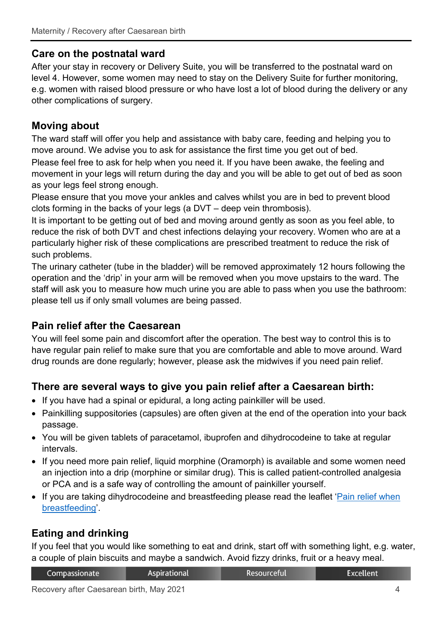#### **Care on the postnatal ward**

After your stay in recovery or Delivery Suite, you will be transferred to the postnatal ward on level 4. However, some women may need to stay on the Delivery Suite for further monitoring, e.g. women with raised blood pressure or who have lost a lot of blood during the delivery or any other complications of surgery.

# **Moving about**

The ward staff will offer you help and assistance with baby care, feeding and helping you to move around. We advise you to ask for assistance the first time you get out of bed.

Please feel free to ask for help when you need it. If you have been awake, the feeling and movement in your legs will return during the day and you will be able to get out of bed as soon as your legs feel strong enough.

Please ensure that you move your ankles and calves whilst you are in bed to prevent blood clots forming in the backs of your legs (a DVT – deep vein thrombosis).

It is important to be getting out of bed and moving around gently as soon as you feel able, to reduce the risk of both DVT and chest infections delaying your recovery. Women who are at a particularly higher risk of these complications are prescribed treatment to reduce the risk of such problems.

The urinary catheter (tube in the bladder) will be removed approximately 12 hours following the operation and the 'drip' in your arm will be removed when you move upstairs to the ward. The staff will ask you to measure how much urine you are able to pass when you use the bathroom: please tell us if only small volumes are being passed.

#### **Pain relief after the Caesarean**

You will feel some pain and discomfort after the operation. The best way to control this is to have regular pain relief to make sure that you are comfortable and able to move around. Ward drug rounds are done regularly; however, please ask the midwives if you need pain relief.

# **There are several ways to give you pain relief after a Caesarean birth:**

- If you have had a spinal or epidural, a long acting painkiller will be used.
- Painkilling suppositories (capsules) are often given at the end of the operation into your back passage.
- You will be given tablets of paracetamol, ibuprofen and dihydrocodeine to take at regular intervals.
- If you need more pain relief, liquid morphine (Oramorph) is available and some women need an injection into a drip (morphine or similar drug). This is called patient-controlled analgesia or PCA and is a safe way of controlling the amount of painkiller yourself.
- If you are taking dihydrocodeine and breastfeeding please read the leaflet 'Pain relief when [breastfeeding'](https://www.royalberkshire.nhs.uk/patient-information-leaflets/Maternity/Maternity---pain-relief-when-breastfeeding.htm).

# **Eating and drinking**

If you feel that you would like something to eat and drink, start off with something light, e.g. water, a couple of plain biscuits and maybe a sandwich. Avoid fizzy drinks, fruit or a heavy meal.

| Compassionate | <b>Aspirational</b> | Resourceful | Excellent |
|---------------|---------------------|-------------|-----------|
|---------------|---------------------|-------------|-----------|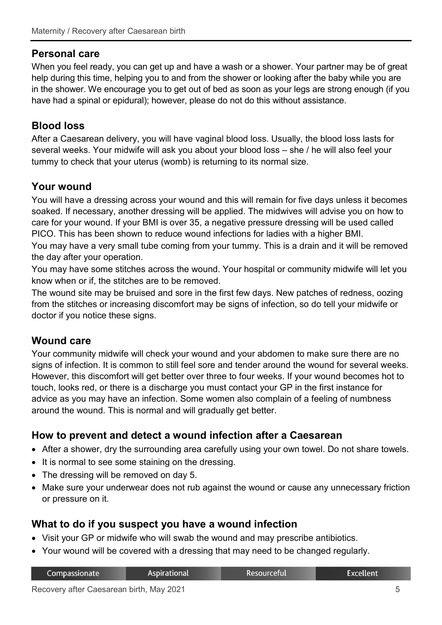#### **Personal care**

When you feel ready, you can get up and have a wash or a shower. Your partner may be of great help during this time, helping you to and from the shower or looking after the baby while you are in the shower. We encourage you to get out of bed as soon as your legs are strong enough (if you have had a spinal or epidural); however, please do not do this without assistance.

## **Blood loss**

After a Caesarean delivery, you will have vaginal blood loss. Usually, the blood loss lasts for several weeks. Your midwife will ask you about your blood loss – she / he will also feel your tummy to check that your uterus (womb) is returning to its normal size.

#### **Your wound**

You will have a dressing across your wound and this will remain for five days unless it becomes soaked. If necessary, another dressing will be applied. The midwives will advise you on how to care for your wound. If your BMI is over 35, a negative pressure dressing will be used called PICO. This has been shown to reduce wound infections for ladies with a higher BMI.

You may have a very small tube coming from your tummy. This is a drain and it will be removed the day after your operation.

You may have some stitches across the wound. Your hospital or community midwife will let you know when or if, the stitches are to be removed.

The wound site may be bruised and sore in the first few days. New patches of redness, oozing from the stitches or increasing discomfort may be signs of infection, so do tell your midwife or doctor if you notice these signs.

#### **Wound care**

Your community midwife will check your wound and your abdomen to make sure there are no signs of infection. It is common to still feel sore and tender around the wound for several weeks. However, this discomfort will get better over three to four weeks. If your wound becomes hot to touch, looks red, or there is a discharge you must contact your GP in the first instance for advice as you may have an infection. Some women also complain of a feeling of numbness around the wound. This is normal and will gradually get better.

#### **How to prevent and detect a wound infection after a Caesarean**

- After a shower, dry the surrounding area carefully using your own towel. Do not share towels.
- It is normal to see some staining on the dressing.
- The dressing will be removed on day 5.
- Make sure your underwear does not rub against the wound or cause any unnecessary friction or pressure on it.

#### **What to do if you suspect you have a wound infection**

- Visit your GP or midwife who will swab the wound and may prescribe antibiotics.
- Your wound will be covered with a dressing that may need to be changed regularly.

|  |  | Compassionate | Aspirational | <b>Resourceful</b> | Excellent <sup>1</sup> |
|--|--|---------------|--------------|--------------------|------------------------|
|--|--|---------------|--------------|--------------------|------------------------|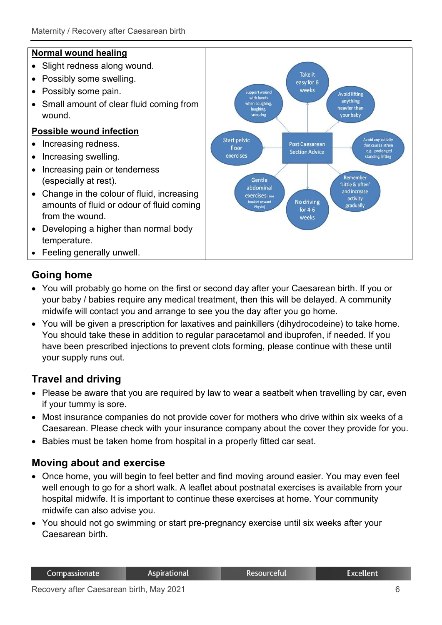#### **Normal wound healing**

- Slight redness along wound.
- Possibly some swelling.
- Possibly some pain.
- Small amount of clear fluid coming from wound.

#### **Possible wound infection**

- Increasing redness.
- Increasing swelling.
- Increasing pain or tenderness (especially at rest).
- Change in the colour of fluid, increasing amounts of fluid or odour of fluid coming from the wound.
- Developing a higher than normal body temperature.
- Feeling generally unwell.

## **Going home**

- You will probably go home on the first or second day after your Caesarean birth. If you or your baby / babies require any medical treatment, then this will be delayed. A community midwife will contact you and arrange to see you the day after you go home.
- You will be given a prescription for laxatives and painkillers (dihydrocodeine) to take home. You should take these in addition to regular paracetamol and ibuprofen, if needed. If you have been prescribed injections to prevent clots forming, please continue with these until your supply runs out.

# **Travel and driving**

- Please be aware that you are required by law to wear a seatbelt when travelling by car, even if your tummy is sore.
- Most insurance companies do not provide cover for mothers who drive within six weeks of a Caesarean. Please check with your insurance company about the cover they provide for you.
- Babies must be taken home from hospital in a properly fitted car seat.

#### **Moving about and exercise**

- Once home, you will begin to feel better and find moving around easier. You may even feel well enough to go for a short walk. A leaflet about postnatal exercises is available from your hospital midwife. It is important to continue these exercises at home. Your community midwife can also advise you.
- You should not go swimming or start pre-pregnancy exercise until six weeks after your Caesarean birth.

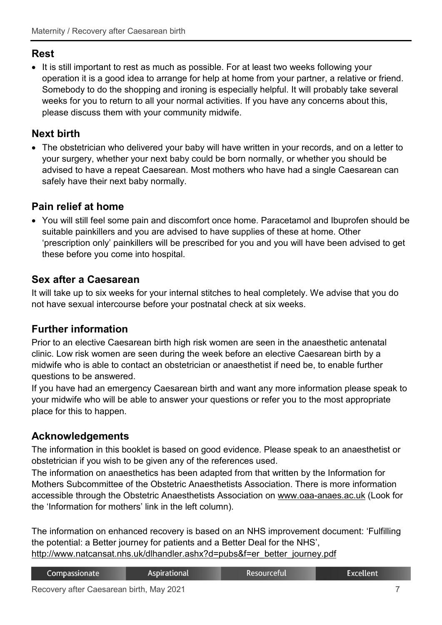#### **Rest**

• It is still important to rest as much as possible. For at least two weeks following your operation it is a good idea to arrange for help at home from your partner, a relative or friend. Somebody to do the shopping and ironing is especially helpful. It will probably take several weeks for you to return to all your normal activities. If you have any concerns about this, please discuss them with your community midwife.

# **Next birth**

• The obstetrician who delivered your baby will have written in your records, and on a letter to your surgery, whether your next baby could be born normally, or whether you should be advised to have a repeat Caesarean. Most mothers who have had a single Caesarean can safely have their next baby normally.

## **Pain relief at home**

• You will still feel some pain and discomfort once home. Paracetamol and Ibuprofen should be suitable painkillers and you are advised to have supplies of these at home. Other 'prescription only' painkillers will be prescribed for you and you will have been advised to get these before you come into hospital.

## **Sex after a Caesarean**

It will take up to six weeks for your internal stitches to heal completely. We advise that you do not have sexual intercourse before your postnatal check at six weeks.

# **Further information**

Prior to an elective Caesarean birth high risk women are seen in the anaesthetic antenatal clinic. Low risk women are seen during the week before an elective Caesarean birth by a midwife who is able to contact an obstetrician or anaesthetist if need be, to enable further questions to be answered.

If you have had an emergency Caesarean birth and want any more information please speak to your midwife who will be able to answer your questions or refer you to the most appropriate place for this to happen.

# **Acknowledgements**

The information in this booklet is based on good evidence. Please speak to an anaesthetist or obstetrician if you wish to be given any of the references used.

The information on anaesthetics has been adapted from that written by the Information for Mothers Subcommittee of the Obstetric Anaesthetists Association. There is more information accessible through the Obstetric Anaesthetists Association on [www.oaa-anaes.ac.uk](http://www.oaa-anaes.ac.uk/) (Look for the 'Information for mothers' link in the left column).

The information on enhanced recovery is based on an NHS improvement document: 'Fulfilling the potential: a Better journey for patients and a Better Deal for the NHS', [http://www.natcansat.nhs.uk/dlhandler.ashx?d=pubs&f=er\\_better\\_journey.pdf](http://www.natcansat.nhs.uk/dlhandler.ashx?d=pubs&f=er_better_journey.pdf)

| Compassionate | Aspirational | Resourceful' | Excellent |
|---------------|--------------|--------------|-----------|
|               |              |              |           |